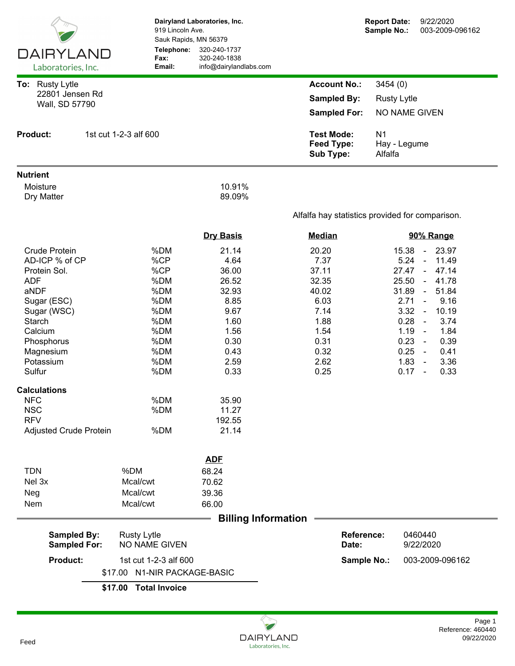|                                                                                                                                                                                                                                                                              |                                                                                                              | Dairyland Laboratories, Inc.<br>919 Lincoln Ave.<br>Sauk Rapids, MN 56379                                                                     |                                                                                                          | <b>Report Date:</b><br>Sample No.: | 9/22/2020<br>003-2009-096162                                                                                                                                                                                                                                                                                                                                     |  |
|------------------------------------------------------------------------------------------------------------------------------------------------------------------------------------------------------------------------------------------------------------------------------|--------------------------------------------------------------------------------------------------------------|-----------------------------------------------------------------------------------------------------------------------------------------------|----------------------------------------------------------------------------------------------------------|------------------------------------|------------------------------------------------------------------------------------------------------------------------------------------------------------------------------------------------------------------------------------------------------------------------------------------------------------------------------------------------------------------|--|
| <b>DAIRYLAND</b><br>Laboratories, Inc.                                                                                                                                                                                                                                       | Telephone:<br>Fax:<br>Email:                                                                                 | 320-240-1737<br>320-240-1838<br>info@dairylandlabs.com                                                                                        |                                                                                                          |                                    |                                                                                                                                                                                                                                                                                                                                                                  |  |
| To: Rusty Lytle                                                                                                                                                                                                                                                              |                                                                                                              |                                                                                                                                               | <b>Account No.:</b>                                                                                      | 3454 (0)                           |                                                                                                                                                                                                                                                                                                                                                                  |  |
| 22801 Jensen Rd                                                                                                                                                                                                                                                              |                                                                                                              |                                                                                                                                               | <b>Sampled By:</b>                                                                                       | <b>Rusty Lytle</b>                 |                                                                                                                                                                                                                                                                                                                                                                  |  |
| Wall, SD 57790                                                                                                                                                                                                                                                               |                                                                                                              |                                                                                                                                               | <b>Sampled For:</b>                                                                                      |                                    | NO NAME GIVEN                                                                                                                                                                                                                                                                                                                                                    |  |
| <b>Product:</b>                                                                                                                                                                                                                                                              | 1st cut 1-2-3 alf 600                                                                                        |                                                                                                                                               | <b>Test Mode:</b><br>N <sub>1</sub><br><b>Feed Type:</b><br>Hay - Legume<br><b>Sub Type:</b><br>Alfalfa  |                                    |                                                                                                                                                                                                                                                                                                                                                                  |  |
| <b>Nutrient</b>                                                                                                                                                                                                                                                              |                                                                                                              |                                                                                                                                               |                                                                                                          |                                    |                                                                                                                                                                                                                                                                                                                                                                  |  |
| Moisture<br>Dry Matter                                                                                                                                                                                                                                                       |                                                                                                              | 10.91%<br>89.09%                                                                                                                              |                                                                                                          |                                    |                                                                                                                                                                                                                                                                                                                                                                  |  |
|                                                                                                                                                                                                                                                                              |                                                                                                              |                                                                                                                                               | Alfalfa hay statistics provided for comparison.                                                          |                                    |                                                                                                                                                                                                                                                                                                                                                                  |  |
|                                                                                                                                                                                                                                                                              |                                                                                                              | <b>Dry Basis</b>                                                                                                                              | <b>Median</b>                                                                                            |                                    | 90% Range                                                                                                                                                                                                                                                                                                                                                        |  |
| <b>Crude Protein</b><br>AD-ICP % of CP<br>Protein Sol.<br><b>ADF</b><br>aNDF<br>Sugar (ESC)<br>Sugar (WSC)<br>Starch<br>Calcium<br>Phosphorus<br>Magnesium<br>Potassium<br>Sulfur<br><b>Calculations</b><br><b>NFC</b><br><b>NSC</b><br><b>RFV</b><br>Adjusted Crude Protein | %DM<br>%CP<br>%CP<br>%DM<br>%DM<br>%DM<br>%DM<br>%DM<br>%DM<br>%DM<br>%DM<br>%DM<br>%DM<br>%DM<br>%DM<br>%DM | 21.14<br>4.64<br>36.00<br>26.52<br>32.93<br>8.85<br>9.67<br>1.60<br>1.56<br>0.30<br>0.43<br>2.59<br>0.33<br>35.90<br>11.27<br>192.55<br>21.14 | 20.20<br>7.37<br>37.11<br>32.35<br>40.02<br>6.03<br>7.14<br>1.88<br>1.54<br>0.31<br>0.32<br>2.62<br>0.25 | 15.38<br>27.47<br>25.50<br>31.89   | 23.97<br>$\blacksquare$<br>5.24<br>11.49<br>$\blacksquare$<br>47.14<br>$\sim$<br>41.78<br>$\sim$<br>51.84<br>$\blacksquare$<br>2.71<br>9.16<br>$\blacksquare$<br>3.32<br>10.19<br>$\blacksquare$<br>0.28<br>3.74<br>$\sim$<br>1.84<br>1.19<br>$\sim$<br>0.23<br>0.39<br>$\sim$<br>0.25<br>0.41<br>$\sim$<br>1.83<br>3.36<br>$\sim$<br>0.33<br>0.17<br>$\sim$ $-$ |  |
|                                                                                                                                                                                                                                                                              |                                                                                                              | <b>ADF</b>                                                                                                                                    |                                                                                                          |                                    |                                                                                                                                                                                                                                                                                                                                                                  |  |
| <b>TDN</b>                                                                                                                                                                                                                                                                   | %DM                                                                                                          | 68.24                                                                                                                                         |                                                                                                          |                                    |                                                                                                                                                                                                                                                                                                                                                                  |  |
| Nel 3x                                                                                                                                                                                                                                                                       | Mcal/cwt                                                                                                     | 70.62                                                                                                                                         |                                                                                                          |                                    |                                                                                                                                                                                                                                                                                                                                                                  |  |
| Neg                                                                                                                                                                                                                                                                          | Mcal/cwt                                                                                                     | 39.36                                                                                                                                         |                                                                                                          |                                    |                                                                                                                                                                                                                                                                                                                                                                  |  |
| Nem                                                                                                                                                                                                                                                                          | Mcal/cwt                                                                                                     | 66.00                                                                                                                                         |                                                                                                          |                                    |                                                                                                                                                                                                                                                                                                                                                                  |  |
| <b>Sampled By:</b><br><b>Sampled For:</b>                                                                                                                                                                                                                                    | <b>Billing Information</b>                                                                                   | Date:                                                                                                                                         | <b>Reference:</b>                                                                                        | 0460440<br>9/22/2020               |                                                                                                                                                                                                                                                                                                                                                                  |  |
| <b>Product:</b>                                                                                                                                                                                                                                                              | NO NAME GIVEN<br>1st cut 1-2-3 alf 600                                                                       |                                                                                                                                               |                                                                                                          |                                    | 003-2009-096162                                                                                                                                                                                                                                                                                                                                                  |  |
|                                                                                                                                                                                                                                                                              | <b>N1-NIR PACKAGE-BASIC</b><br>\$17.00                                                                       |                                                                                                                                               |                                                                                                          | Sample No.:                        |                                                                                                                                                                                                                                                                                                                                                                  |  |
|                                                                                                                                                                                                                                                                              | <b>Total Invoice</b><br>\$17.00                                                                              |                                                                                                                                               |                                                                                                          |                                    |                                                                                                                                                                                                                                                                                                                                                                  |  |